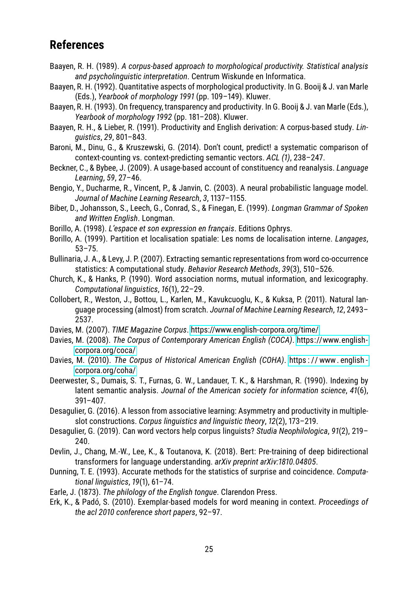## **References**

- Baayen, R. H. (1989). *A corpus-based approach to morphological productivity. Statistical analysis and psycholinguistic interpretation*. Centrum Wiskunde en Informatica.
- Baayen, R. H. (1992). Quantitative aspects of morphological productivity. In G. Booij & J. van Marle (Eds.), *Yearbook of morphology 1991* (pp. 109–149). Kluwer.
- Baayen, R. H. (1993). On frequency, transparency and productivity. In G. Booij & J. van Marle (Eds.), *Yearbook of morphology 1992* (pp. 181–208). Kluwer.
- Baayen, R. H., & Lieber, R. (1991). Productivity and English derivation: A corpus-based study. *Linguistics*, *29*, 801–843.
- Baroni, M., Dinu, G., & Kruszewski, G. (2014). Don't count, predict! a systematic comparison of context-counting vs. context-predicting semantic vectors. *ACL (1)*, 238–247.
- Beckner, C., & Bybee, J. (2009). A usage-based account of constituency and reanalysis. *Language Learning*, *59*, 27–46.
- Bengio, Y., Ducharme, R., Vincent, P., & Janvin, C. (2003). A neural probabilistic language model. *Journal of Machine Learning Research*, *3*, 1137–1155.
- Biber, D., Johansson, S., Leech, G., Conrad, S., & Finegan, E. (1999). *Longman Grammar of Spoken and Written English*. Longman.
- Borillo, A. (1998). *L'espace et son expression en français*. Editions Ophrys.
- Borillo, A. (1999). Partition et localisation spatiale: Les noms de localisation interne. *Langages*, 53–75.
- Bullinaria, J. A., & Levy, J. P. (2007). Extracting semantic representations from word co-occurrence statistics: A computational study. *Behavior Research Methods*, *39*(3), 510–526.
- Church, K., & Hanks, P. (1990). Word association norms, mutual information, and lexicography. *Computational linguistics*, *16*(1), 22–29.
- Collobert, R., Weston, J., Bottou, L., Karlen, M., Kavukcuoglu, K., & Kuksa, P. (2011). Natural language processing (almost) from scratch. *Journal of Machine Learning Research*, *12*, 2493– 2537.
- Davies, M. (2007). *TIME Magazine Corpus*. https://www.english-corpora.org/time/
- Davies, M. (2008). *The Corpus of Contemporary American English (COCA)*. https://www.englishcorpora.org/coca/
- Davies, M. (2010). *The Corpus of Historical American English (COHA)*. https : // www. english corpora.org/coha/
- Deerwester, S., Dumais, S. T., Furnas, G. W., Landauer, T. K., & Harshman, R. (1990). Indexing by latent semantic analysis. *Journal of the American society for information science*, *41*(6), 391–407.
- Desagulier, G. (2016). A lesson from associative learning: Asymmetry and productivity in multipleslot constructions. *Corpus linguistics and linguistic theory*, *12*(2), 173–219.
- Desagulier, G. (2019). Can word vectors help corpus linguists? *Studia Neophilologica*, *91*(2), 219– 240.
- Devlin, J., Chang, M.-W., Lee, K., & Toutanova, K. (2018). Bert: Pre-training of deep bidirectional transformers for language understanding. *arXiv preprint arXiv:1810.04805*.
- Dunning, T. E. (1993). Accurate methods for the statistics of surprise and coincidence. *Computational linguistics*, *19*(1), 61–74.
- Earle, J. (1873). *The philology of the English tongue*. Clarendon Press.
- Erk, K., & Padó, S. (2010). Exemplar-based models for word meaning in context. *Proceedings of the acl 2010 conference short papers*, 92–97.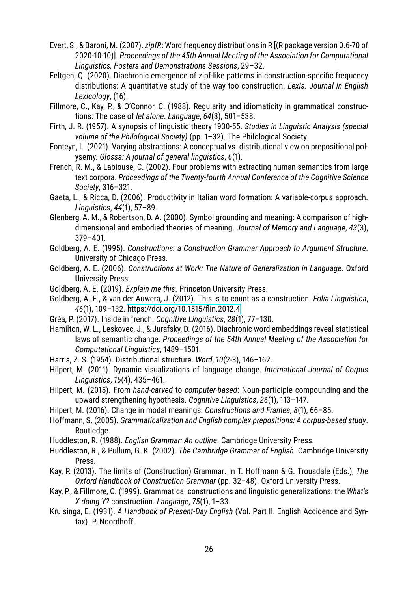- Evert, S., & Baroni, M. (2007). *zipfR*: Word frequency distributions in R [(R package version 0.6-70 of 2020-10-10)]. *Proceedings of the 45th Annual Meeting of the Association for Computational Linguistics, Posters and Demonstrations Sessions*, 29–32.
- Feltgen, Q. (2020). Diachronic emergence of zipf-like patterns in construction-specific frequency distributions: A quantitative study of the way too construction. *Lexis. Journal in English Lexicology*, (16).
- Fillmore, C., Kay, P., & O'Connor, C. (1988). Regularity and idiomaticity in grammatical constructions: The case of *let alone*. *Language*, *64*(3), 501–538.
- Firth, J. R. (1957). A synopsis of linguistic theory 1930-55. *Studies in Linguistic Analysis (special volume of the Philological Society)* (pp. 1–32). The Philological Society.
- Fonteyn, L. (2021). Varying abstractions: A conceptual vs. distributional view on prepositional polysemy. *Glossa: A journal of general linguistics*, *6*(1).
- French, R. M., & Labiouse, C. (2002). Four problems with extracting human semantics from large text corpora. *Proceedings of the Twenty-fourth Annual Conference of the Cognitive Science Society*, 316–321.
- Gaeta, L., & Ricca, D. (2006). Productivity in Italian word formation: A variable-corpus approach. *Linguistics*, *44*(1), 57–89.
- Glenberg, A. M., & Robertson, D. A. (2000). Symbol grounding and meaning: A comparison of highdimensional and embodied theories of meaning. *Journal of Memory and Language*, *43*(3), 379–401.
- Goldberg, A. E. (1995). *Constructions: a Construction Grammar Approach to Argument Structure*. University of Chicago Press.
- Goldberg, A. E. (2006). *Constructions at Work: The Nature of Generalization in Language*. Oxford University Press.
- Goldberg, A. E. (2019). *Explain me this*. Princeton University Press.
- Goldberg, A. E., & van der Auwera, J. (2012). This is to count as a construction. *Folia Linguistica*, *46*(1), 109–132. https://doi.org/10.1515/flin.2012.4
- Gréa, P. (2017). Inside in french. *Cognitive Linguistics*, *28*(1), 77–130.
- Hamilton, W. L., Leskovec, J., & Jurafsky, D. (2016). Diachronic word embeddings reveal statistical laws of semantic change. *Proceedings of the 54th Annual Meeting of the Association for Computational Linguistics*, 1489–1501.
- Harris, Z. S. (1954). Distributional structure. *Word*, *10*(2-3), 146–162.
- Hilpert, M. (2011). Dynamic visualizations of language change. *International Journal of Corpus Linguistics*, *16*(4), 435–461.
- Hilpert, M. (2015). From *hand-carved* to *computer-based*: Noun-participle compounding and the upward strengthening hypothesis. *Cognitive Linguistics*, *26*(1), 113–147.
- Hilpert, M. (2016). Change in modal meanings. *Constructions and Frames*, *8*(1), 66–85.
- Hoffmann, S. (2005). *Grammaticalization and English complex prepositions: A corpus-based study*. Routledge.
- Huddleston, R. (1988). *English Grammar: An outline*. Cambridge University Press.
- Huddleston, R., & Pullum, G. K. (2002). *The Cambridge Grammar of English*. Cambridge University Press.
- Kay, P. (2013). The limits of (Construction) Grammar. In T. Hoffmann & G. Trousdale (Eds.), *The Oxford Handbook of Construction Grammar* (pp. 32–48). Oxford University Press.
- Kay, P., & Fillmore, C. (1999). Grammatical constructions and linguistic generalizations: the *What's X doing Y?* construction. *Language*, *75*(1), 1–33.
- Kruisinga, E. (1931). *A Handbook of Present-Day English* (Vol. Part II: English Accidence and Syntax). P. Noordhoff.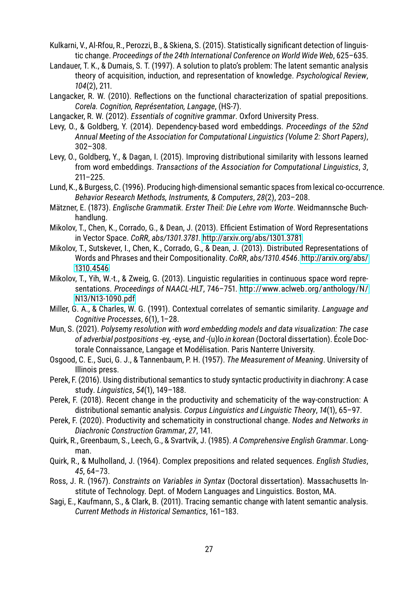- Kulkarni, V., Al-Rfou, R., Perozzi, B., & Skiena, S. (2015). Statistically significant detection of linguistic change. *Proceedings of the 24th International Conference on World Wide Web*, 625–635.
- Landauer, T. K., & Dumais, S. T. (1997). A solution to plato's problem: The latent semantic analysis theory of acquisition, induction, and representation of knowledge. *Psychological Review*, *104*(2), 211.
- Langacker, R. W. (2010). Reflections on the functional characterization of spatial prepositions. *Corela. Cognition, Représentation, Langage*, (HS-7).
- Langacker, R. W. (2012). *Essentials of cognitive grammar*. Oxford University Press.
- Levy, O., & Goldberg, Y. (2014). Dependency-based word embeddings. *Proceedings of the 52nd Annual Meeting of the Association for Computational Linguistics (Volume 2: Short Papers)*, 302–308.
- Levy, O., Goldberg, Y., & Dagan, I. (2015). Improving distributional similarity with lessons learned from word embeddings. *Transactions of the Association for Computational Linguistics*, *3*, 211–225.
- Lund, K., & Burgess, C. (1996). Producing high-dimensional semantic spaces from lexical co-occurrence. *Behavior Research Methods, Instruments, & Computers*, *28*(2), 203–208.
- Mätzner, E. (1873). *Englische Grammatik. Erster Theil: Die Lehre vom Worte*. Weidmannsche Buchhandlung.
- Mikolov, T., Chen, K., Corrado, G., & Dean, J. (2013). Efficient Estimation of Word Representations in Vector Space. *CoRR*, *abs/1301.3781*. http://arxiv.org/abs/1301.3781
- Mikolov, T., Sutskever, I., Chen, K., Corrado, G., & Dean, J. (2013). Distributed Representations of Words and Phrases and their Compositionality. *CoRR*, *abs/1310.4546*. http://arxiv.org/abs/ 1310.4546
- Mikolov, T., Yih, W.-t., & Zweig, G. (2013). Linguistic regularities in continuous space word representations. *Proceedings of NAACL-HLT*, 746–751. http://www.aclweb.org/anthology/N/ N13/N13-1090.pdf
- Miller, G. A., & Charles, W. G. (1991). Contextual correlates of semantic similarity. *Language and Cognitive Processes*, *6*(1), 1–28.
- Mun, S. (2021). *Polysemy resolution with word embedding models and data visualization: The case of adverbial postpositions* -ey*,* -eyse*, and* -(u)lo *in korean* (Doctoral dissertation). École Doctorale Connaissance, Langage et Modélisation. Paris Nanterre University.
- Osgood, C. E., Suci, G. J., & Tannenbaum, P. H. (1957). *The Measurement of Meaning*. University of Illinois press.
- Perek, F. (2016). Using distributional semantics to study syntactic productivity in diachrony: A case study. *Linguistics*, *54*(1), 149–188.
- Perek, F. (2018). Recent change in the productivity and schematicity of the way-construction: A distributional semantic analysis. *Corpus Linguistics and Linguistic Theory*, *14*(1), 65–97.
- Perek, F. (2020). Productivity and schematicity in constructional change. *Nodes and Networks in Diachronic Construction Grammar*, *27*, 141.
- Quirk, R., Greenbaum, S., Leech, G., & Svartvik, J. (1985). *A Comprehensive English Grammar*. Longman.
- Quirk, R., & Mulholland, J. (1964). Complex prepositions and related sequences. *English Studies*, *45*, 64–73.
- Ross, J. R. (1967). *Constraints on Variables in Syntax* (Doctoral dissertation). Massachusetts Institute of Technology. Dept. of Modern Languages and Linguistics. Boston, MA.
- Sagi, E., Kaufmann, S., & Clark, B. (2011). Tracing semantic change with latent semantic analysis. *Current Methods in Historical Semantics*, 161–183.